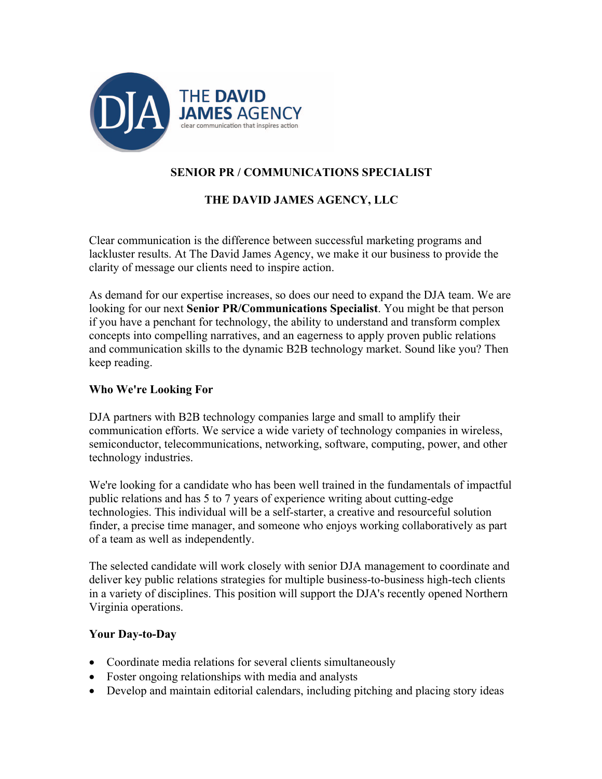

# **SENIOR PR / COMMUNICATIONS SPECIALIST**

## **THE DAVID JAMES AGENCY, LLC**

Clear communication is the difference between successful marketing programs and lackluster results. At The David James Agency, we make it our business to provide the clarity of message our clients need to inspire action.

As demand for our expertise increases, so does our need to expand the DJA team. We are looking for our next **Senior PR/Communications Specialist**. You might be that person if you have a penchant for technology, the ability to understand and transform complex concepts into compelling narratives, and an eagerness to apply proven public relations and communication skills to the dynamic B2B technology market. Sound like you? Then keep reading.

### **Who We're Looking For**

DJA partners with B2B technology companies large and small to amplify their communication efforts. We service a wide variety of technology companies in wireless, semiconductor, telecommunications, networking, software, computing, power, and other technology industries.

We're looking for a candidate who has been well trained in the fundamentals of impactful public relations and has 5 to 7 years of experience writing about cutting-edge technologies. This individual will be a self-starter, a creative and resourceful solution finder, a precise time manager, and someone who enjoys working collaboratively as part of a team as well as independently.

The selected candidate will work closely with senior DJA management to coordinate and deliver key public relations strategies for multiple business-to-business high-tech clients in a variety of disciplines. This position will support the DJA's recently opened Northern Virginia operations.

### **Your Day-to-Day**

- Coordinate media relations for several clients simultaneously
- Foster ongoing relationships with media and analysts
- Develop and maintain editorial calendars, including pitching and placing story ideas